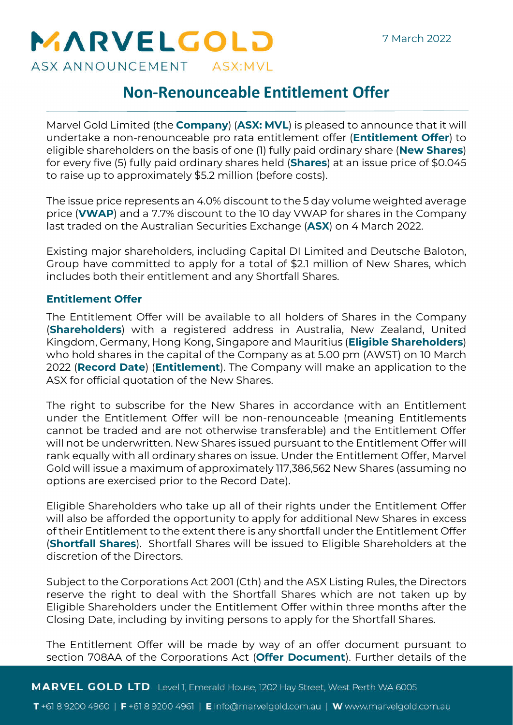# MARVELGOLD ASX ANNOUNCEMENT ASX:MVL

**Non-Renounceable Entitlement Offer**

Marvel Gold Limited (the **Company**) (**ASX: MVL**) is pleased to announce that it will undertake a non-renounceable pro rata entitlement offer (**Entitlement Offer**) to eligible shareholders on the basis of one (1) fully paid ordinary share (**New Shares**) for every five (5) fully paid ordinary shares held (**Shares**) at an issue price of \$0.045 to raise up to approximately \$5.2 million (before costs).

The issue price represents an 4.0% discount to the 5 day volume weighted average price (**VWAP**) and a 7.7% discount to the 10 day VWAP for shares in the Company last traded on the Australian Securities Exchange (**ASX**) on 4 March 2022.

Existing major shareholders, including Capital DI Limited and Deutsche Baloton, Group have committed to apply for a total of \$2.1 million of New Shares, which includes both their entitlement and any Shortfall Shares.

# **Entitlement Offer**

The Entitlement Offer will be available to all holders of Shares in the Company (**Shareholders**) with a registered address in Australia, New Zealand, United Kingdom, Germany, Hong Kong, Singapore and Mauritius (**Eligible Shareholders**) who hold shares in the capital of the Company as at 5.00 pm (AWST) on 10 March 2022 (**Record Date**) (**Entitlement**). The Company will make an application to the ASX for official quotation of the New Shares.

The right to subscribe for the New Shares in accordance with an Entitlement under the Entitlement Offer will be non-renounceable (meaning Entitlements cannot be traded and are not otherwise transferable) and the Entitlement Offer will not be underwritten. New Shares issued pursuant to the Entitlement Offer will rank equally with all ordinary shares on issue. Under the Entitlement Offer, Marvel Gold will issue a maximum of approximately 117,386,562 New Shares (assuming no options are exercised prior to the Record Date).

Eligible Shareholders who take up all of their rights under the Entitlement Offer will also be afforded the opportunity to apply for additional New Shares in excess of their Entitlement to the extent there is any shortfall under the Entitlement Offer (**Shortfall Shares**). Shortfall Shares will be issued to Eligible Shareholders at the discretion of the Directors.

Subject to the Corporations Act 2001 (Cth) and the ASX Listing Rules, the Directors reserve the right to deal with the Shortfall Shares which are not taken up by Eligible Shareholders under the Entitlement Offer within three months after the Closing Date, including by inviting persons to apply for the Shortfall Shares. Subject to the Corporations Act 2001 (Cth) and the ASX Listing Rules, the Directors<br>reserve the right to deal with the Shortfall Shares which are not taken up by<br>Eligible Shareholders under the Entitlement Offer within thr

The Entitlement Offer will be made by way of an offer document pursuant to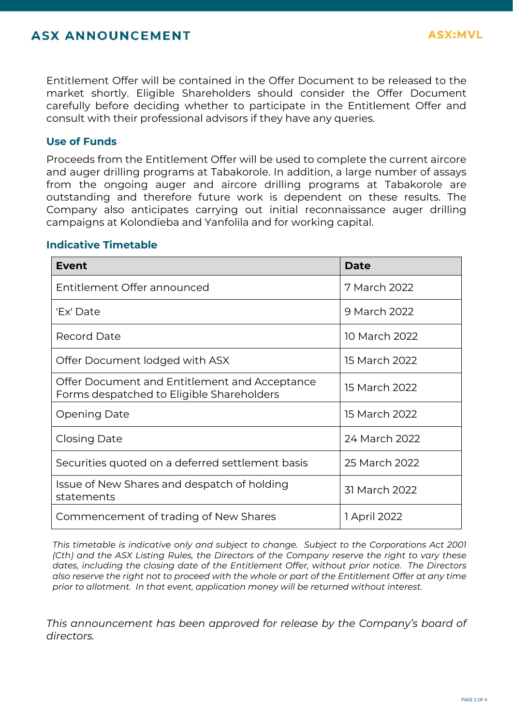Entitlement Offer will be contained in the Offer Document to be released to the market shortly. Eligible Shareholders should consider the Offer Document carefully before deciding whether to participate in the Entitlement Offer and consult with their professional advisors if they have any queries.

## **Use of Funds**

Proceeds from the Entitlement Offer will be used to complete the current aircore and auger drilling programs at Tabakorole. In addition, a large number of assays from the ongoing auger and aircore drilling programs at Tabakorole are outstanding and therefore future work is dependent on these results. The Company also anticipates carrying out initial reconnaissance auger drilling campaigns at Kolondieba and Yanfolila and for working capital.

#### **Indicative Timetable**

| <b>Event</b>                                                                               | Date          |  |  |
|--------------------------------------------------------------------------------------------|---------------|--|--|
| Entitlement Offer announced                                                                | 7 March 2022  |  |  |
| 'Ex' Date                                                                                  | 9 March 2022  |  |  |
| <b>Record Date</b>                                                                         | 10 March 2022 |  |  |
| Offer Document lodged with ASX                                                             | 15 March 2022 |  |  |
| Offer Document and Entitlement and Acceptance<br>Forms despatched to Eligible Shareholders | 15 March 2022 |  |  |
| <b>Opening Date</b>                                                                        | 15 March 2022 |  |  |
| Closing Date                                                                               | 24 March 2022 |  |  |
| Securities quoted on a deferred settlement basis                                           | 25 March 2022 |  |  |
| Issue of New Shares and despatch of holding<br>statements                                  | 31 March 2022 |  |  |
| Commencement of trading of New Shares                                                      | 1 April 2022  |  |  |

*This timetable is indicative only and subject to change. Subject to the Corporations Act 2001 (Cth) and the ASX Listing Rules, the Directors of the Company reserve the right to vary these dates, including the closing date of the Entitlement Offer, without prior notice. The Directors also reserve the right not to proceed with the whole or part of the Entitlement Offer at any time prior to allotment. In that event, application money will be returned without interest.* 

*This announcement has been approved for release by the Company's board of diso reser<br>also reser<br>prior to al<br>This anne<br>directors.* 

**ASX:MVL**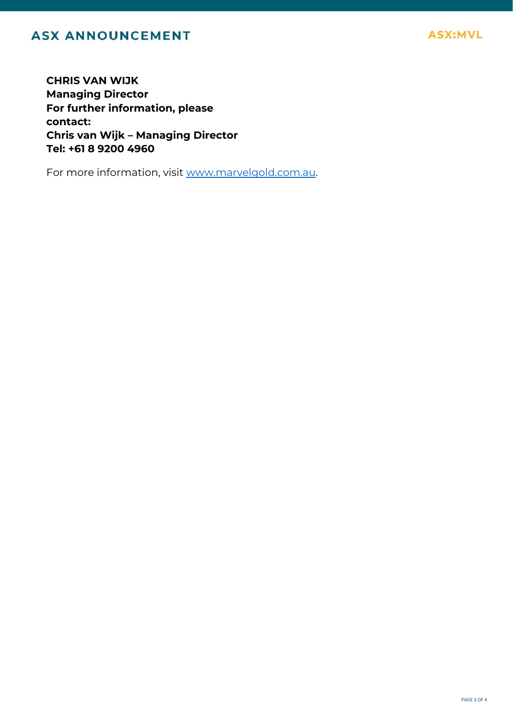# **ASX ANNOUNCEMENT**

**CHRIS VAN WIJK Managing Director For further information, please contact: Chris van Wijk – Managing Director Tel: +61 8 9200 4960**

For more information, visit www.marvelgold.com.au.